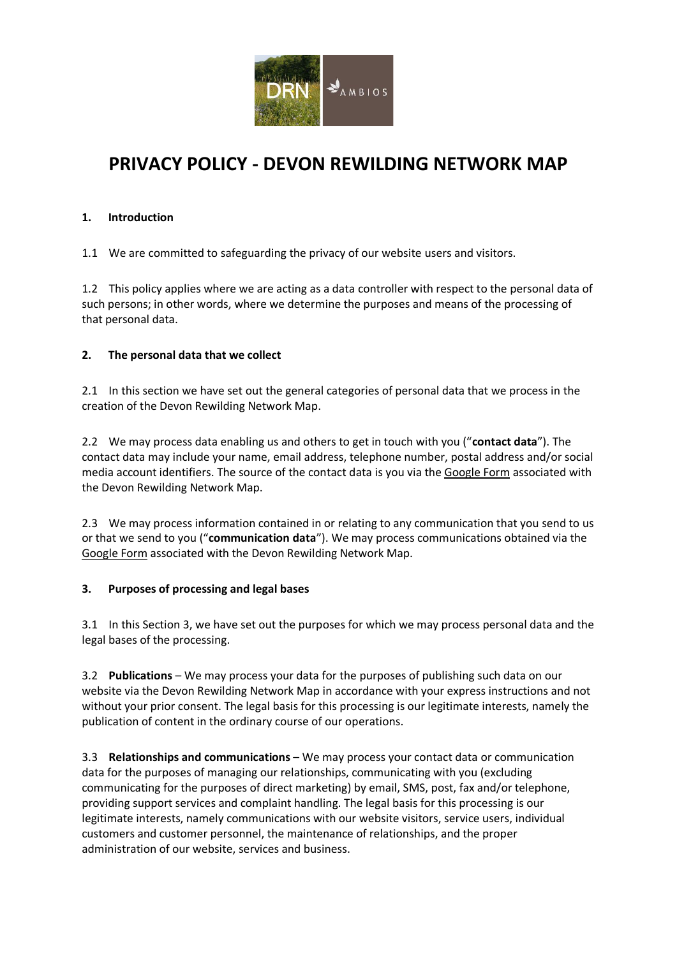

# **PRIVACY POLICY - DEVON REWILDING NETWORK MAP**

#### **1. Introduction**

1.1 We are committed to safeguarding the privacy of our website users and visitors.

1.2 This policy applies where we are acting as a data controller with respect to the personal data of such persons; in other words, where we determine the purposes and means of the processing of that personal data.

## **2. The personal data that we collect**

2.1 In this section we have set out the general categories of personal data that we process in the creation of the Devon Rewilding Network Map.

2.2 We may process data enabling us and others to get in touch with you ("**contact data**"). The contact data may include your name, email address, telephone number, postal address and/or social media account identifiers. The source of the contact data is you via the [Google Form](https://docs.google.com/forms/d/e/1FAIpQLSfPC6NV29AASAmFOpJLjL2iUgITC5xr3WYBqHKmEvdwBvhoAA/viewform?usp=sf_link) associated with the Devon Rewilding Network Map.

2.3 We may process information contained in or relating to any communication that you send to us or that we send to you ("**communication data**"). We may process communications obtained via the [Google Form](https://docs.google.com/forms/d/e/1FAIpQLSfPC6NV29AASAmFOpJLjL2iUgITC5xr3WYBqHKmEvdwBvhoAA/viewform?usp=sf_link) associated with the Devon Rewilding Network Map.

#### **3. Purposes of processing and legal bases**

3.1 In this Section 3, we have set out the purposes for which we may process personal data and the legal bases of the processing.

3.2 **Publications** – We may process your data for the purposes of publishing such data on our website via the Devon Rewilding Network Map in accordance with your express instructions and not without your prior consent. The legal basis for this processing is our legitimate interests, namely the publication of content in the ordinary course of our operations.

3.3 **Relationships and communications** – We may process your contact data or communication data for the purposes of managing our relationships, communicating with you (excluding communicating for the purposes of direct marketing) by email, SMS, post, fax and/or telephone, providing support services and complaint handling. The legal basis for this processing is our legitimate interests, namely communications with our website visitors, service users, individual customers and customer personnel, the maintenance of relationships, and the proper administration of our website, services and business.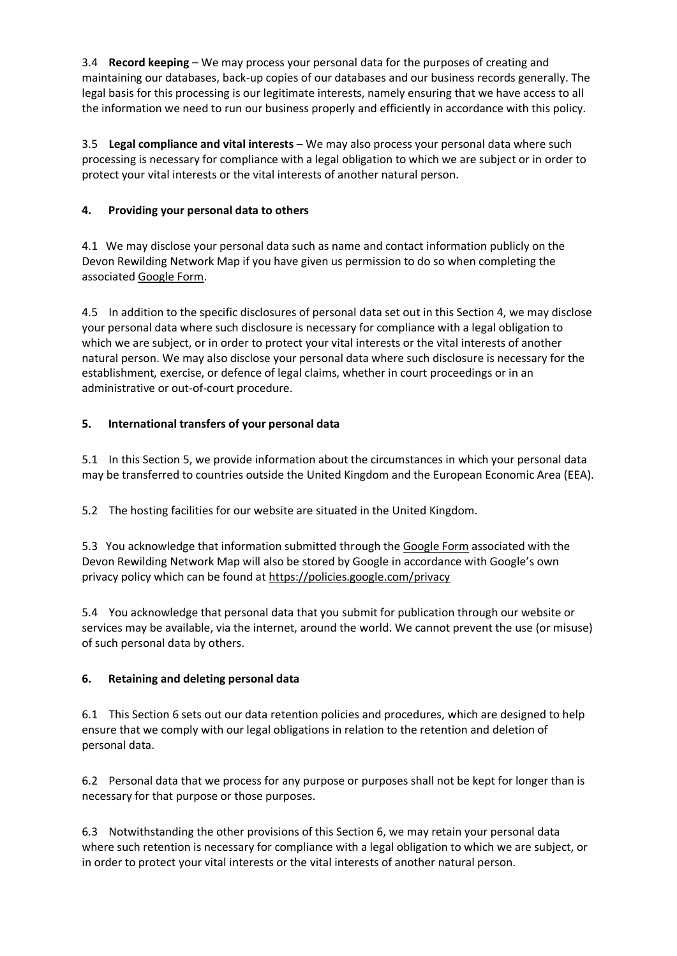3.4 **Record keeping** – We may process your personal data for the purposes of creating and maintaining our databases, back-up copies of our databases and our business records generally. The legal basis for this processing is our legitimate interests, namely ensuring that we have access to all the information we need to run our business properly and efficiently in accordance with this policy.

3.5 **Legal compliance and vital interests** – We may also process your personal data where such processing is necessary for compliance with a legal obligation to which we are subject or in order to protect your vital interests or the vital interests of another natural person.

## **4. Providing your personal data to others**

4.1 We may disclose your personal data such as name and contact information publicly on the Devon Rewilding Network Map if you have given us permission to do so when completing the associate[d Google Form.](https://docs.google.com/forms/d/e/1FAIpQLSfPC6NV29AASAmFOpJLjL2iUgITC5xr3WYBqHKmEvdwBvhoAA/viewform?usp=sf_link)

4.5 In addition to the specific disclosures of personal data set out in this Section 4, we may disclose your personal data where such disclosure is necessary for compliance with a legal obligation to which we are subject, or in order to protect your vital interests or the vital interests of another natural person. We may also disclose your personal data where such disclosure is necessary for the establishment, exercise, or defence of legal claims, whether in court proceedings or in an administrative or out-of-court procedure.

## **5. International transfers of your personal data**

5.1 In this Section 5, we provide information about the circumstances in which your personal data may be transferred to countries outside the United Kingdom and the European Economic Area (EEA).

5.2 The hosting facilities for our website are situated in the United Kingdom.

5.3 You acknowledge that information submitted through th[e Google Form](https://docs.google.com/forms/d/e/1FAIpQLSfPC6NV29AASAmFOpJLjL2iUgITC5xr3WYBqHKmEvdwBvhoAA/viewform?usp=sf_link) associated with the Devon Rewilding Network Map will also be stored by Google in accordance with Google's own privacy policy which can be found a[t https://policies.google.com/privacy](https://policies.google.com/privacy) 

5.4 You acknowledge that personal data that you submit for publication through our website or services may be available, via the internet, around the world. We cannot prevent the use (or misuse) of such personal data by others.

#### **6. Retaining and deleting personal data**

6.1 This Section 6 sets out our data retention policies and procedures, which are designed to help ensure that we comply with our legal obligations in relation to the retention and deletion of personal data.

6.2 Personal data that we process for any purpose or purposes shall not be kept for longer than is necessary for that purpose or those purposes.

6.3 Notwithstanding the other provisions of this Section 6, we may retain your personal data where such retention is necessary for compliance with a legal obligation to which we are subject, or in order to protect your vital interests or the vital interests of another natural person.